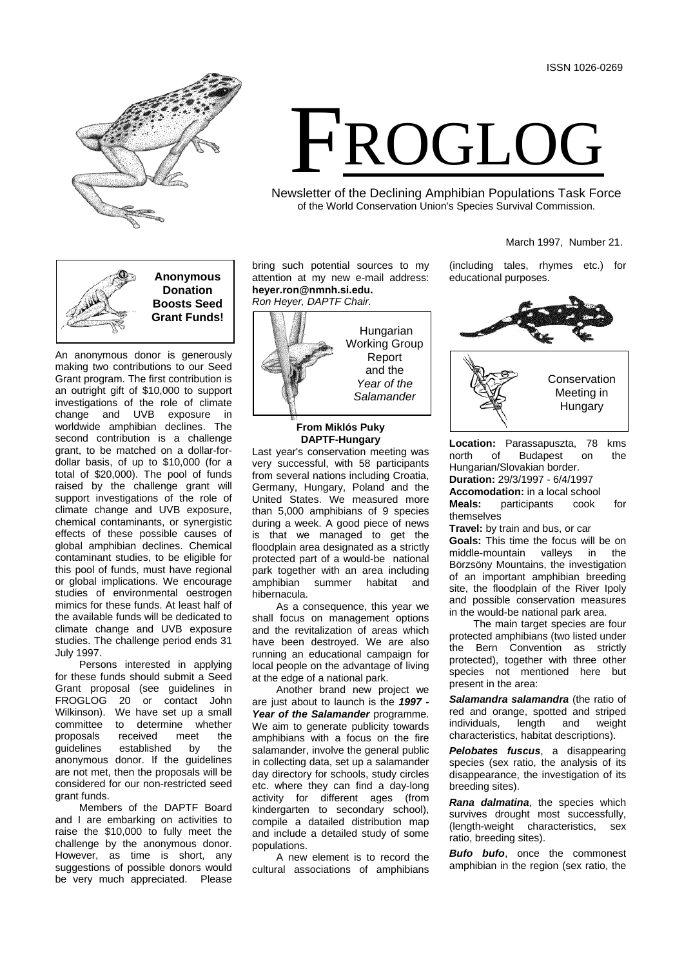

# FROGLOG

Newsletter of the Declining Amphibian Populations Task Force of the World Conservation Union's Species Survival Commission.

## March 1997, Number 21.



An anonymous donor is generously making two contributions to our Seed Grant program. The first contribution is an outright gift of \$10,000 to support investigations of the role of climate change and UVB exposure in worldwide amphibian declines. The second contribution is a challenge grant, to be matched on a dollar-fordollar basis, of up to \$10,000 (for a total of \$20,000). The pool of funds raised by the challenge grant will support investigations of the role of climate change and UVB exposure, chemical contaminants, or synergistic effects of these possible causes of global amphibian declines. Chemical contaminant studies, to be eligible for this pool of funds, must have regional or global implications. We encourage studies of environmental oestrogen mimics for these funds. At least half of the available funds will be dedicated to climate change and UVB exposure studies. The challenge period ends 31 July 1997.

Persons interested in applying for these funds should submit a Seed Grant proposal (see guidelines in FROGLOG 20 or contact John Wilkinson). We have set up a small committee to determine whether<br>proposals received meet the proposals received meet the<br>guidelines established by the established anonymous donor. If the guidelines are not met, then the proposals will be considered for our non-restricted seed grant funds.

Members of the DAPTF Board and I are embarking on activities to raise the \$10,000 to fully meet the challenge by the anonymous donor. However, as time is short, any suggestions of possible donors would be very much appreciated. Please bring such potential sources to my attention at my new e-mail address: **heyer.ron@nmnh.si.edu.** *Ron Heyer, DAPTF Chair.*



# **From Miklós Puky DAPTF-Hungary**

Last year's conservation meeting was very successful, with 58 participants from several nations including Croatia, Germany, Hungary, Poland and the United States. We measured more than 5,000 amphibians of 9 species during a week. A good piece of news is that we managed to get the floodplain area designated as a strictly protected part of a would-be national park together with an area including amphibian summer habitat and hibernacula.

As a consequence, this year we shall focus on management options and the revitalization of areas which have been destroyed. We are also running an educational campaign for local people on the advantage of living at the edge of a national park.

Another brand new project we are just about to launch is the *1997 -* Year of the Salamander programme. We aim to generate publicity towards amphibians with a focus on the fire salamander, involve the general public in collecting data, set up a salamander day directory for schools, study circles etc. where they can find a day-long activity for different ages (from kindergarten to secondary school), compile a datailed distribution map and include a detailed study of some populations.

A new element is to record the cultural associations of amphibians

(including tales, rhymes etc.) for educational purposes.



**Location:** Parassapuszta, 78 kms north of Budapest on the Hungarian/Slovakian border. **Duration:** 29/3/1997 - 6/4/1997 **Accomodation:** in a local school **Meals:** participants cook for themselves

**Travel:** by train and bus, or car **Goals:** This time the focus will be on middle-mountain valleys in the Börzsöny Mountains, the investigation of an important amphibian breeding site, the floodplain of the River Ipoly and possible conservation measures in the would-be national park area.

The main target species are four protected amphibians (two listed under the Bern Convention as strictly protected), together with three other species not mentioned here but present in the area:

*Salamandra salamandra* (the ratio of red and orange, spotted and striped<br>individuals, length and weight individuals. characteristics, habitat descriptions).

*Pelobates fuscus*, a disappearing species (sex ratio, the analysis of its disappearance, the investigation of its breeding sites).

*Rana dalmatina*, the species which survives drought most successfully, (length-weight characteristics, sex ratio, breeding sites).

*Bufo bufo*, once the commonest amphibian in the region (sex ratio, the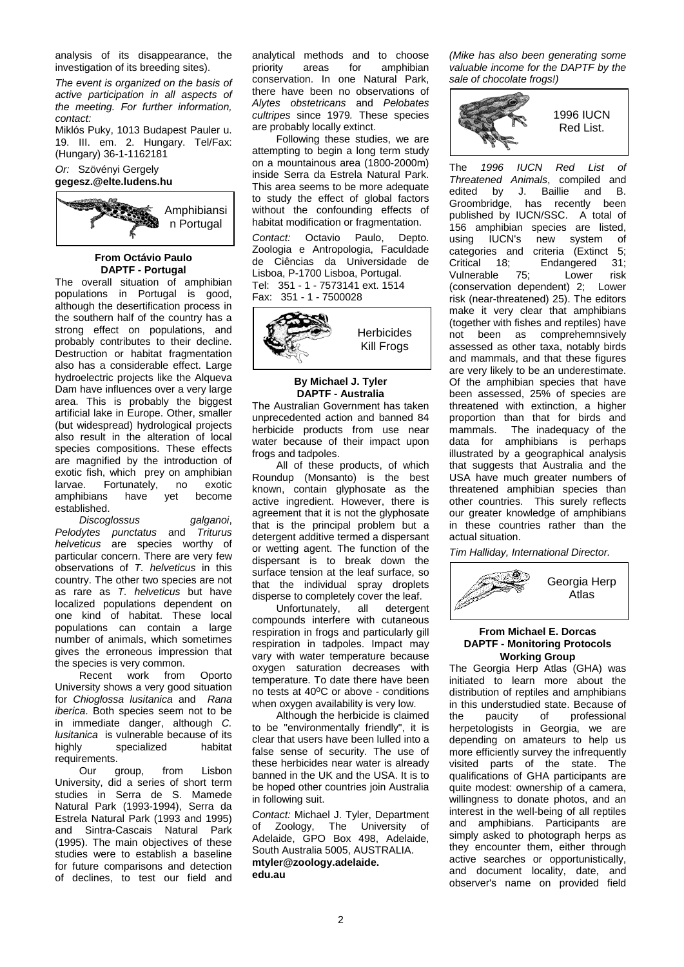analysis of its disappearance, the investigation of its breeding sites).

*The event is organized on the basis of active participation in all aspects of the meeting. For further information, contact:*

Miklós Puky, 1013 Budapest Pauler u. 19. III. em. 2. Hungary. Tel/Fax: (Hungary) 36-1-1162181

## *Or:* Szövényi Gergely **gegesz.@elte.ludens.hu**



#### **From Octávio Paulo DAPTF - Portugal**

The overall situation of amphibian populations in Portugal is good, although the desertification process in the southern half of the country has a strong effect on populations, and probably contributes to their decline. Destruction or habitat fragmentation also has a considerable effect. Large hydroelectric projects like the Alqueva Dam have influences over a very large area. This is probably the biggest artificial lake in Europe. Other, smaller (but widespread) hydrological projects also result in the alteration of local species compositions. These effects are magnified by the introduction of exotic fish, which prey on amphibian<br>larvae. Fortunately, no exotic Fortunately, no exotic<br>is have yet become amphibians established.

*Discoglossus galganoi*, *Pelodytes punctatus* and *Triturus helveticus* are species worthy of particular concern. There are very few observations of *T. helveticus* in this country. The other two species are not as rare as *T. helveticus* but have localized populations dependent on one kind of habitat. These local populations can contain a large number of animals, which sometimes gives the erroneous impression that the species is very common.

Recent work from Oporto University shows a very good situation for *Chioglossa lusitanica* and *Rana iberica*. Both species seem not to be in immediate danger, although *C. lusitanica* is vulnerable because of its highly specialized habitat requirements.<br>Our

group, from Lisbon University, did a series of short term studies in Serra de S. Mamede Natural Park (1993-1994), Serra da Estrela Natural Park (1993 and 1995) and Sintra-Cascais Natural Park (1995). The main objectives of these studies were to establish a baseline for future comparisons and detection of declines, to test our field and

analytical methods and to choose<br>priority areas for amphibian amphibian conservation. In one Natural Park, there have been no observations of *Alytes obstetricans* and *Pelobates cultripes* since 1979*.* These species are probably locally extinct.

Following these studies, we are attempting to begin a long term study on a mountainous area (1800-2000m) inside Serra da Estrela Natural Park. This area seems to be more adequate to study the effect of global factors without the confounding effects of habitat modification or fragmentation.

*Contact:* Octavio Paulo, Depto. Zoologia e Antropologia, Faculdade de Ciências da Universidade de Lisboa, P-1700 Lisboa, Portugal. Tel: 351 - 1 - 7573141 ext. 1514 Fax: 351 - 1 - 7500028



## **By Michael J. Tyler DAPTF - Australia**

The Australian Government has taken unprecedented action and banned 84 herbicide products from use near water because of their impact upon frogs and tadpoles.

All of these products, of which Roundup (Monsanto) is the best known, contain glyphosate as the active ingredient. However, there is agreement that it is not the glyphosate that is the principal problem but a detergent additive termed a dispersant or wetting agent. The function of the dispersant is to break down the surface tension at the leaf surface, so that the individual spray droplets disperse to completely cover the leaf.

Unfortunately, all detergent compounds interfere with cutaneous respiration in frogs and particularly gill respiration in tadpoles. Impact may vary with water temperature because oxygen saturation decreases with temperature. To date there have been no tests at 40°C or above - conditions when oxygen availability is very low.

Although the herbicide is claimed to be "environmentally friendly", it is clear that users have been lulled into a false sense of security. The use of these herbicides near water is already banned in the UK and the USA. It is to be hoped other countries join Australia in following suit.

**Contact: Michael J. Tyler, Department**<br>of Zoology. The University of Zoology, The University of Adelaide, GPO Box 498, Adelaide, South Australia 5005, AUSTRALIA. **mtyler@zoology.adelaide. edu.au**

*(Mike has also been generating some valuable income for the DAPTF by the sale of chocolate frogs!)*



The *1996 IUCN Red List of Threatened Animals*, compiled and edited by J. Baillie and B. Groombridge, has recently been published by IUCN/SSC. A total of 156 amphibian species are listed,<br>using IUCN's new system of using IUCN's new system of categories and criteria (Extinct 5; Critical 18; Endangered 31; Vulnerable 75; Lower risk (conservation dependent) 2; Lower risk (near-threatened) 25). The editors make it very clear that amphibians (together with fishes and reptiles) have not been as comprehemnsively assessed as other taxa, notably birds and mammals, and that these figures are very likely to be an underestimate. Of the amphibian species that have been assessed, 25% of species are threatened with extinction, a higher proportion than that for birds and mammals. The inadequacy of the data for amphibians is perhaps illustrated by a geographical analysis that suggests that Australia and the USA have much greater numbers of threatened amphibian species than other countries. This surely reflects our greater knowledge of amphibians in these countries rather than the actual situation.

*Tim Halliday, International Director.*



## **From Michael E. Dorcas DAPTF - Monitoring Protocols Working Group**

The Georgia Herp Atlas (GHA) was initiated to learn more about the distribution of reptiles and amphibians in this understudied state. Because of<br>the paucity of professional professional herpetologists in Georgia, we are depending on amateurs to help us more efficiently survey the infrequently visited parts of the state. The qualifications of GHA participants are quite modest: ownership of a camera, willingness to donate photos, and an interest in the well-being of all reptiles and amphibians. Participants are simply asked to photograph herps as they encounter them, either through active searches or opportunistically, and document locality, date, and observer's name on provided field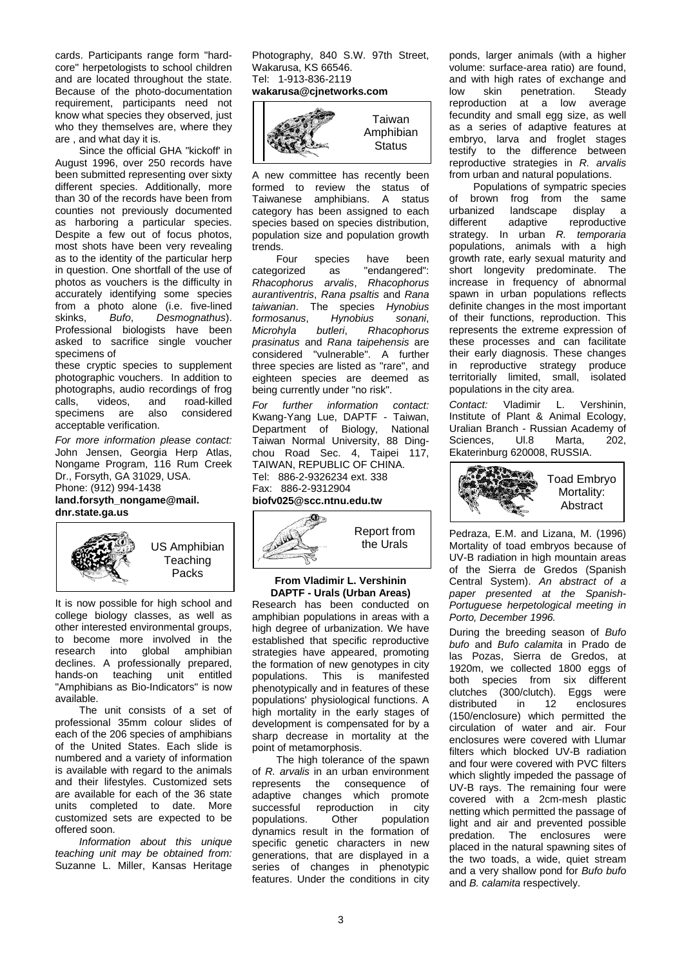cards. Participants range form "hardcore" herpetologists to school children and are located throughout the state. Because of the photo-documentation requirement, participants need not know what species they observed, just who they themselves are, where they are , and what day it is.

Since the official GHA "kickoff' in August 1996, over 250 records have been submitted representing over sixty different species. Additionally, more than 30 of the records have been from counties not previously documented as harboring a particular species. Despite a few out of focus photos, most shots have been very revealing as to the identity of the particular herp in question. One shortfall of the use of photos as vouchers is the difficulty in accurately identifying some species from a photo alone (i.e. five-lined<br>skinks. Bufo. Desmognathus). Bufo, *Desmognathus*). Professional biologists have been asked to sacrifice single voucher specimens of

these cryptic species to supplement photographic vouchers. In addition to photographs, audio recordings of frog<br>calls. videos. and road-killed calls, videos, and road-killed<br>specimens are also considered considered acceptable verification.

*For more information please contact:* John Jensen, Georgia Herp Atlas, Nongame Program, 116 Rum Creek Dr., Forsyth, GA 31029, USA. Phone: (912) 994-1438

## **land.forsyth\_nongame@mail. dnr.state.ga.us**



It is now possible for high school and college biology classes, as well as other interested environmental groups, to become more involved in the<br>research into global amphibian into global amphibian declines. A professionally prepared, hands-on teaching unit entitled "Amphibians as Bio-Indicators" is now available.

The unit consists of a set of professional 35mm colour slides of each of the 206 species of amphibians of the United States. Each slide is numbered and a variety of information is available with regard to the animals and their lifestyles. Customized sets are available for each of the 36 state units completed to date. More customized sets are expected to be offered soon.

*Information about this unique teaching unit may be obtained from:* Suzanne L. Miller, Kansas Heritage

Photography, 840 S.W. 97th Street, Wakarusa, KS 66546. Tel: 1-913-836-2119

## **wakarusa@cjnetworks.com**



A new committee has recently been formed to review the status of Taiwanese amphibians. A status category has been assigned to each species based on species distribution, population size and population growth trends.<br>Four

species have been categorized as "endangered": *Rhacophorus arvalis*, *Rhacophorus aurantiventris*, *Rana psaltis* and *Rana taiwanian*. The species *Hynobius formosanus,<br>Microhyla Microhyla butleri*, *Rhacophorus prasinatus* and *Rana taipehensis* are considered "vulnerable". A further three species are listed as "rare", and eighteen species are deemed as being currently under "no risk".

*For further information contact:*  Kwang-Yang Lue, DAPTF - Taiwan, Department of Biology, National Taiwan Normal University, 88 Dingchou Road Sec. 4, Taipei 117, TAIWAN, REPUBLIC OF CHINA. Tel: 886-2-9326234 ext. 338 Fax: 886-2-9312904

# **biofv025@scc.ntnu.edu.tw**



## **From Vladimir L. Vershinin DAPTF - Urals (Urban Areas)**

Research has been conducted on amphibian populations in areas with a high degree of urbanization. We have established that specific reproductive strategies have appeared, promoting the formation of new genotypes in city populations. This is manifested phenotypically and in features of these populations' physiological functions. A high mortality in the early stages of development is compensated for by a sharp decrease in mortality at the point of metamorphosis.

The high tolerance of the spawn of *R. arvalis* in an urban environment<br>represents the consequence of represents the consequence adaptive changes which promote successful reproduction in city populations. Other population dynamics result in the formation of specific genetic characters in new generations, that are displayed in a series of changes in phenotypic features. Under the conditions in city ponds, larger animals (with a higher volume: surface-area ratio) are found, and with high rates of exchange and<br>low skin penetration. Steady low skin penetration.<br>reproduction at a low at a low average fecundity and small egg size, as well as a series of adaptive features at embryo, larva and froglet stages testify to the difference between reproductive strategies in *R. arvalis* from urban and natural populations.

Populations of sympatric species of brown frog from the same urbanized landscape display a different adaptive reproductive strategy. In urban *R. temporaria*  populations, animals with a high growth rate, early sexual maturity and short longevity predominate. The increase in frequency of abnormal spawn in urban populations reflects definite changes in the most important of their functions, reproduction. This represents the extreme expression of these processes and can facilitate their early diagnosis. These changes<br>in reproductive strategy produce in reproductive strategy territorially limited, small, isolated populations in the city area.

*Contact:* Vladimir L. Vershinin, Institute of Plant & Animal Ecology, Uralian Branch - Russian Academy of Sciences, Ul.8 Marta, 202, Ekaterinburg 620008, RUSSIA.



Pedraza, E.M. and Lizana, M. (1996) Mortality of toad embryos because of UV-B radiation in high mountain areas of the Sierra de Gredos (Spanish Central System). *An abstract of a paper presented at the Spanish-Portuguese herpetological meeting in Porto, December 1996.*

During the breeding season of *Bufo bufo* and *Bufo calamita* in Prado de las Pozas, Sierra de Gredos, at 1920m, we collected 1800 eggs of both species from six different clutches (300/clutch). Eggs were distributed in 12 enclosures (150/enclosure) which permitted the circulation of water and air. Four enclosures were covered with Llumar filters which blocked UV-B radiation and four were covered with PVC filters which slightly impeded the passage of UV-B rays. The remaining four were covered with a 2cm-mesh plastic netting which permitted the passage of light and air and prevented possible predation. The enclosures were placed in the natural spawning sites of the two toads, a wide, quiet stream and a very shallow pond for *Bufo bufo*  and *B. calamita* respectively.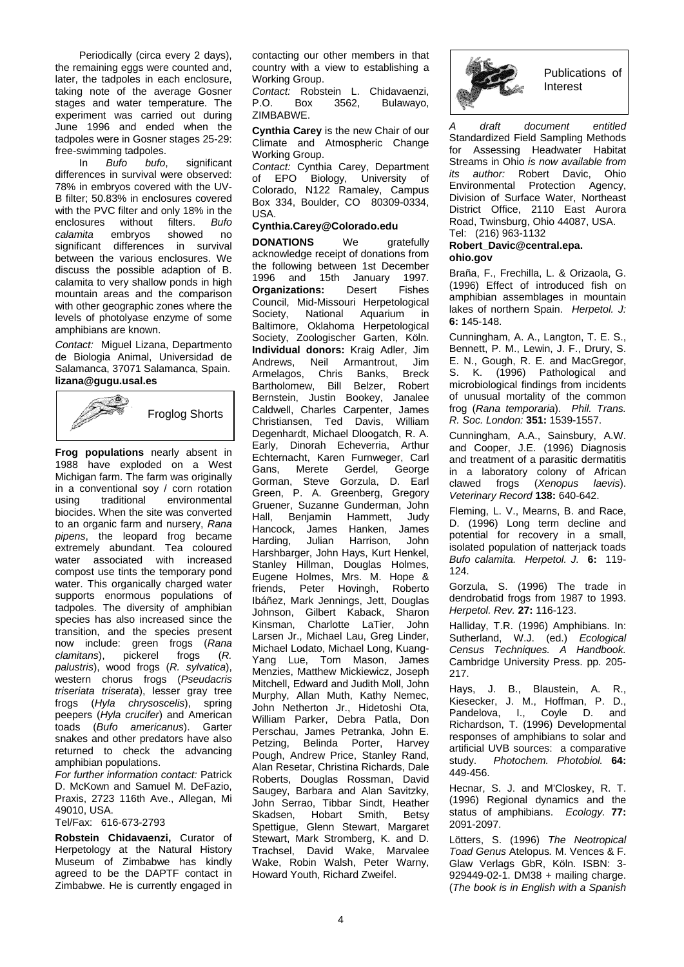Periodically (circa every 2 days), the remaining eggs were counted and, later, the tadpoles in each enclosure, taking note of the average Gosner stages and water temperature. The experiment was carried out during June 1996 and ended when the tadpoles were in Gosner stages 25-29: free-swimming tadpoles.

In *Bufo bufo*, significant differences in survival were observed: 78% in embryos covered with the UV-B filter; 50.83% in enclosures covered with the PVC filter and only 18% in the enclosures without filters. *Bufo calamita* embryos showed no significant differences in survival between the various enclosures. We discuss the possible adaption of B. calamita to very shallow ponds in high mountain areas and the comparison with other geographic zones where the levels of photolyase enzyme of some amphibians are known.

*Contact:* Miguel Lizana, Departmento de Biologia Animal, Universidad de Salamanca, 37071 Salamanca, Spain. **lizana@gugu.usal.es**



**Frog populations** nearly absent in 1988 have exploded on a West Michigan farm. The farm was originally in a conventional soy / corn rotation<br>using traditional environmental using traditional environmental biocides. When the site was converted to an organic farm and nursery, *Rana pipens*, the leopard frog became extremely abundant. Tea coloured water associated with increased compost use tints the temporary pond water. This organically charged water supports enormous populations of tadpoles. The diversity of amphibian species has also increased since the transition, and the species present now include: green frogs (*Rana clamitans*), pickerel frogs (*R. palustris*), wood frogs (*R. sylvatica*), western chorus frogs (*Pseudacris triseriata triserata*), lesser gray tree frogs (*Hyla chrysoscelis*), spring peepers (*Hyla crucifer*) and American toads (*Bufo americanus*). Garter snakes and other predators have also returned to check the advancing amphibian populations.

*For further information contact:* Patrick D. McKown and Samuel M. DeFazio, Praxis, 2723 116th Ave., Allegan, Mi 49010, USA.

# Tel/Fax: 616-673-2793

**Robstein Chidavaenzi,** Curator of Herpetology at the Natural History Museum of Zimbabwe has kindly agreed to be the DAPTF contact in Zimbabwe. He is currently engaged in

contacting our other members in that country with a view to establishing a Working Group.

*Contact:* Robstein L. Chidavaenzi, Bulawayo, ZIMBABWE.

**Cynthia Carey** is the new Chair of our Climate and Atmospheric Change Working Group.

*Contact:* Cynthia Carey, Department of EPO Biology, University of Colorado, N122 Ramaley, Campus Box 334, Boulder, CO 80309-0334, USA.

## **Cynthia.Carey@Colorado.edu**

**DONATIONS** We gratefully acknowledge receipt of donations from the following between 1st December 1996 and 15th January 1997. **Organizations:** Desert Fishes Council, Mid-Missouri Herpetological Society, National Aquarium in Baltimore, Oklahoma Herpetological Society, Zoologischer Garten, Köln. **Individual donors:** Kraig Adler, Jim<br>Andrews Neil Armantrout Jim Andrews, Neil Armantrout, Armelagos, Chris Banks, Breck Bartholomew, Bill Belzer, Robert Bernstein, Justin Bookey, Janalee Caldwell, Charles Carpenter, James Christiansen, Ted Davis, William Degenhardt, Michael Dloogatch, R. A. Early, Dinorah Echeverria, Arthur Echternacht, Karen Furnweger, Carl<br>Gans. Merete Gerdel. George Gans, Merete Gerdel, Gorman, Steve Gorzula, D. Earl Green, P. A. Greenberg, Gregory Gruener, Suzanne Gunderman, John Hall, Benjamin Hammett, Judy Hancock, James Hanken, James Harding, Julian Harrison, John Harshbarger, John Hays, Kurt Henkel, Stanley Hillman, Douglas Holmes, Eugene Holmes, Mrs. M. Hope & friends, Peter Hovingh, Roberto Ibáñez, Mark Jennings, Jett, Douglas Johnson, Gilbert Kaback, Sharon Kinsman, Charlotte LaTier, John Larsen Jr., Michael Lau, Greg Linder, Michael Lodato, Michael Long, Kuang-Yang Lue, Tom Mason, James Menzies, Matthew Mickiewicz, Joseph Mitchell, Edward and Judith Moll, John Murphy, Allan Muth, Kathy Nemec, John Netherton Jr., Hidetoshi Ota, William Parker, Debra Patla, Don Perschau, James Petranka, John E. Petzing, Belinda Porter, Harvey Pough, Andrew Price, Stanley Rand, Alan Resetar, Christina Richards, Dale Roberts, Douglas Rossman, David Saugey, Barbara and Alan Savitzky, John Serrao, Tibbar Sindt, Heather<br>Skadsen, Hobart Smith, Betsy Skadsen, Hobart Smith, Betsy Spettigue, Glenn Stewart, Margaret Stewart, Mark Stromberg, K. and D. Trachsel, David Wake, Marvalee Wake, Robin Walsh, Peter Warny, Howard Youth, Richard Zweifel.



Publications of Interest

*A draft document entitled*  Standardized Field Sampling Methods for Assessing Headwater Habitat Streams in Ohio *is now available from its author:* Robert Davic, Ohio Environmental Protection Agency, Division of Surface Water, Northeast District Office, 2110 East Aurora Road, Twinsburg, Ohio 44087, USA. Tel: (216) 963-1132

### **Robert\_Davic@central.epa. ohio.gov**

Braña, F., Frechilla, L. & Orizaola, G. (1996) Effect of introduced fish on amphibian assemblages in mountain lakes of northern Spain. *Herpetol. J:* **6:** 145-148.

Cunningham, A. A., Langton, T. E. S., Bennett, P. M., Lewin, J. F., Drury, S. E. N., Gough, R. E. and MacGregor, S. K. (1996) Pathological and microbiological findings from incidents of unusual mortality of the common frog (*Rana temporaria*). *Phil. Trans. R. Soc. London:* **351:** 1539-1557.

Cunningham, A.A., Sainsbury, A.W. and Cooper, J.E. (1996) Diagnosis and treatment of a parasitic dermatitis in a laboratory colony of African clawed frogs (*Xenopus laevis*). *Veterinary Record* **138:** 640-642.

Fleming, L. V., Mearns, B. and Race, D. (1996) Long term decline and potential for recovery in a small, isolated population of natterjack toads *Bufo calamita. Herpetol. J.* **6:** 119- 124.

Gorzula, S. (1996) The trade in dendrobatid frogs from 1987 to 1993. *Herpetol. Rev.* **27:** 116-123.

Halliday, T.R. (1996) Amphibians. In: Sutherland, W.J. (ed.) *Ecological Census Techniques. A Handbook.* Cambridge University Press. pp. 205- 217.

Hays, J. B., Blaustein, A. R., Kiesecker, J. M., Hoffman, P. D., Pandelova, I., Coyle D. and Richardson, T. (1996) Developmental responses of amphibians to solar and artificial UVB sources: a comparative study. *Photochem. Photobiol.* **64:** 449-456.

Hecnar, S. J. and M'Closkey, R. T. (1996) Regional dynamics and the status of amphibians. *Ecology.* **77:**  2091-2097.

Lötters, S. (1996) *The Neotropical Toad Genus* Atelopus*.* M. Vences & F. Glaw Verlags GbR, Köln. ISBN: 3- 929449-02-1. DM38 + mailing charge. (*The book is in English with a Spanish*